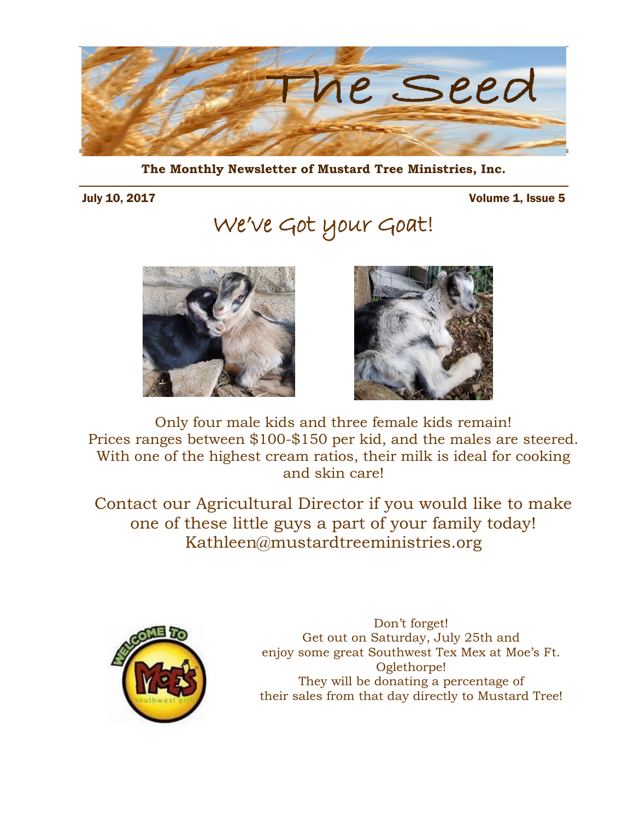

**The Monthly Newsletter of Mustard Tree Ministries, Inc.** 

July 10, 2017 Volume 1, Issue 5

We've Got your Goat!





Only four male kids and three female kids remain! Prices ranges between \$100-\$150 per kid, and the males are steered. With one of the highest cream ratios, their milk is ideal for cooking and skin care!

Contact our Agricultural Director if you would like to make one of these little guys a part of your family today! Kathleen@mustardtreeministries.org



Don't forget! Get out on Saturday, July 25th and enjoy some great Southwest Tex Mex at [Moe's Ft.](http://www.moes.com/find-a-moes/georgia/ft_oglethorpe/6528/)  [Oglethorpe!](http://www.moes.com/find-a-moes/georgia/ft_oglethorpe/6528/) They will be donating a percentage of their sales from that day directly to Mustard Tree!